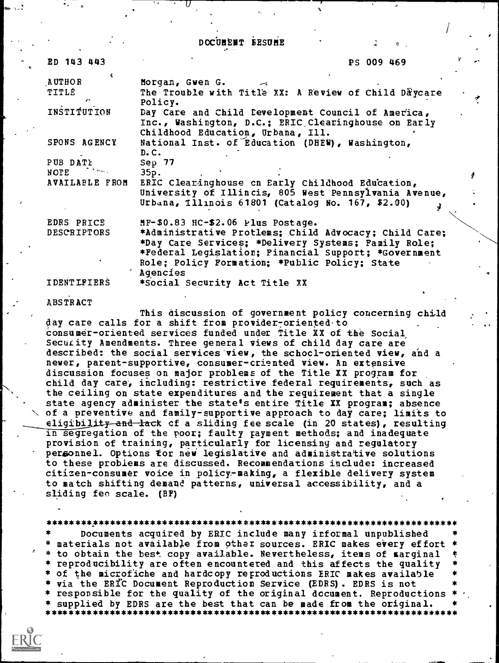DCCUMENT EESUME

 $I$  is a set of  $I$ 

| ED 143 443     | PS 009 469                                                                                                                                     |  |
|----------------|------------------------------------------------------------------------------------------------------------------------------------------------|--|
| <b>AUTHOR</b>  | Morgan, Gwen G.                                                                                                                                |  |
| TITLÉ          | The Trouble with Title XX: A Review of Child Daycare<br>Policy.                                                                                |  |
| INSTITUTION    | Day Care and Child Development Council of America,<br>Inc., Washington, D.C.; ERIC Clearinghouse on Early<br>Childhood Education, Urbana, Ill. |  |
| SPONS AGENCY   | National Inst. of Education (DHEW), Washington,<br>D.C.                                                                                        |  |
| PUB DATE       | Sep $77$                                                                                                                                       |  |
| NOTE           | 35p.                                                                                                                                           |  |
| AVAILABLE FROM | ERIC Clearinghouse on Early Childhood Education,                                                                                               |  |
|                | University of Illincis, 805 West Pennsylvania Avenue,                                                                                          |  |
|                | Urbana, Illinois 61801 (Catalog No. 167, \$2.00)                                                                                               |  |
| EDRS PRICE     | MF-\$0.83 HC-\$2.06 Plus Postage.                                                                                                              |  |
| DESCRIPTORS    | *Administrative Protlems; Child Advocacy; Child Care;                                                                                          |  |
|                | *Day Care Services; *Delivery Systems; Family Role;                                                                                            |  |
|                | *Federal Legislation; Financial Support; *Government                                                                                           |  |
|                | Role; Policy Formation; *Public Policy; State<br>Agencies                                                                                      |  |
| IDENTIFIERS    | *Social Security Act Title XX                                                                                                                  |  |

ABSTRACT

ay.

This discussion of government policy concerning child day care calls for a shift from provider-oriented to Consumer-oriented services funded under Title XX of the Social Security Amendments. Three general views of child day care are described: the social services 'view, the schocl-oriented view, and a newer, parent-supportive, consumer-criented view. An extensive discussion focuses on major problems of the Title XX program for child day care, including: restrictive federal requirements, such as the ceiling on state expenditures and the requirement that a single state agency administer the state's entire Title XX program; absence of a preventive and family-supportive approach to day care; limits to eligibility and lack of a sliding fee scale (in 20 states), resulting in segregation of the poor; faulty payment methods; and inadequate provision of training, particularly for licensing and regulatory personnel. Options for new legislative and administrative solutions to these problems are discussed. Recommendations include: increased citizen-consumer voice in policy-making, a flexible delivery system to match shifting demand patterns, universal accessibility, and a sliding fen scale. (BF)

\*\*\*\*\*\*\*\*\*\*\*\*\*\*\*\*\*\*\*\*\*\*\*\*\*\*\*\*\*\*\*\*\*\*\*\*\*\*\*\*\*\*\*\*\*\*\*\*\*\*\*\*\*\*\*\*\*\*\*\*\*\*\*\*\*\*\*\*\*\*\*

Documents acquired by ERIC include many informal unpublished materials not available from other sources. ERIC makes every effort \* to obtain the best copy available. Nevertheless, items of marginal \* reproducibility are often encountered and this affects the quality \* \* of the microfiche and hardcopy reproductions ERIC makes available \* \* via the ERIC Document Reproduction Service (EDRS). EDRS is not \* responsible for the quality of the original document. Reproductions \* supplied by EDRS are the best that can be made from the original.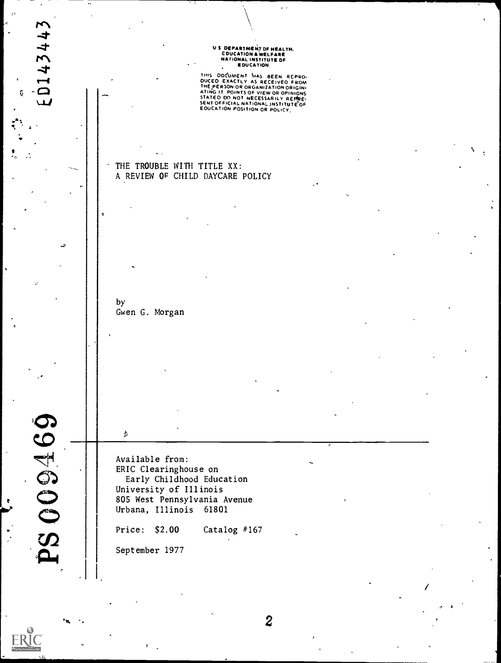# U S DEPARTMENT OF HEALTH,<br>EDUCATION & WELFARE<br>NATIONAL INSTITUTE OF<br>, EDUCATION

THIS DOCUMENT HAS BEEN REPRO-<br>DUCED EXACTLY AS RECEIVED FROM<br>THE PERSON OR ORGANIZATION ORIGIN-<br>ATING IT POINTS OF VIEW OR OPINIONS<br>SENTOFFICIAL NATIONAL INSTITUTE OF<br>SENTOFFICIAL NATIONAL INSTITUTE OF<br>EOUCATION POSITION O

## THE TROUBLE WITH TITLE XX: A REVIEW OP CHILD DAYCARE POLICY

by Gwen G. Morgan

**PS 009469** 

 $\mathbf{I} = \mathbf{I}$ 

ED143443

Available from: ERIC Clearinghouse on Early Childhood Education University of Illinois 80S West Pennsylvania Avenue Urbana, Illinois 61801 Price: \$2.00 Catalog #167

September 1977

 $\boldsymbol{\mathcal{S}}$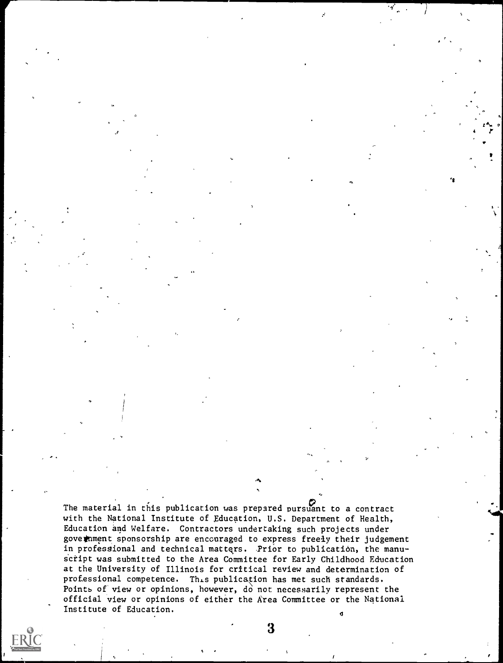The material in this publication was prepared pursuant to a contract with the National Institute of Education, U.S. Department of Health, Education and Welfare. Contractors undertaking such projects under goverment sponsorship are encouraged to express freely their judgement in professional and technical matters. Prior to publication, the manu-Script was submitted to the Area Committee for Early Childhood Education at the University of Illinois for critical review and determination of professional competence. This publication has met such standards. Points of view or opinions, however, do not necessarily represent the official view or opinions of either the Area Committee or the National Institute of Education.  $\mathbf d$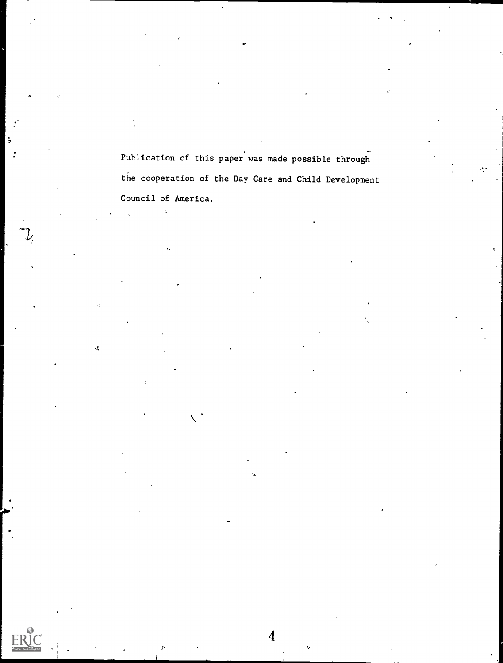Publication of this paper was made possible through the cooperation of the Day Care and Child Development Council of America.

 $\Lambda$ 

.t.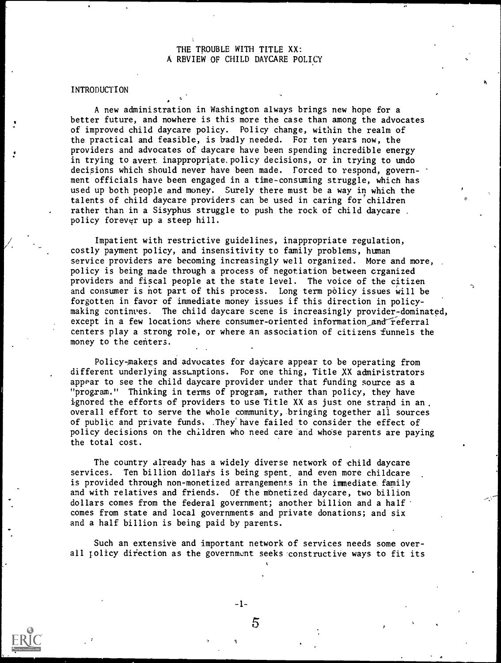### THE TROUBLE WITH TITLE XX: A RBVIEW OF CHILD DAYCARE POLICY

### **INTRODUCTION**

A new administration in Washington always brings new hope for a better future, and nowhere is this more the case than among the advocates of improved child daycare policy. Policy change, within the realm of the practical and feasible, is badly needed. For ten years now, the providers and advocates of daycare have been spending incredible energy in trying to avert inappropriate. policy decisions, or in trying to undo decisions which should never have been made. Forced to respond, government officials have been engaged in a time-consuming struggle, which has used up both people and money. Surely there must be a way in which the talents of child daycare providers can be used in caring for'children rather than in a Sisyphus struggle to push the rock of child daycare . policy forever up a steep hill.

Impatient with restrictive guidelines, inappropriate regulation, costly payment policy, and insensitivity to family problems, human service providers are becoming increasingly well organized. More and more, policy is being made through a process of negotiation between organized providers and fiscal people at the state level. The voice of the citizen and consumer is not part of this process. Long term policy issues will be forgotten in favor of immediate money issues if this direction in policymaking continves. The child daycare scene is increasingly provider-dominated, except in a few locations where consumer-oriented information\_and-referral centers play a strong role, or where an association of citizens funnels the money to the centers.

Policy-,makers and advocates for daycare appear to be operating from different underlying asstaptions. For one thing, Title XX admiristrators appear to see the child daycare provider under that funding source as a "program." Thinking in terms of program, rather than policy, they have ignored the efforts of providers to use Title XX as just one strand in an overall effort to serve the whole community, bringing together all sources of public and private funds. .They have failed to consider the effect of policy decisions on the children who need care and whose parents are paying the total cost.

The country already has a widely diverse network of child daycare services. Ten billion dollars is being spent, and even more childcare is provided through non-monetized arrangements in the immediate family and with relatives and friends. Of the monetized daycare, two billion dollars comes from the federal government; another billion and a half comes from state and local governments and private donations; and six and a half billion is being paid by parents.

Such an extensive and important network of services needs some overall policy difection as the government seeks constructive ways to fit its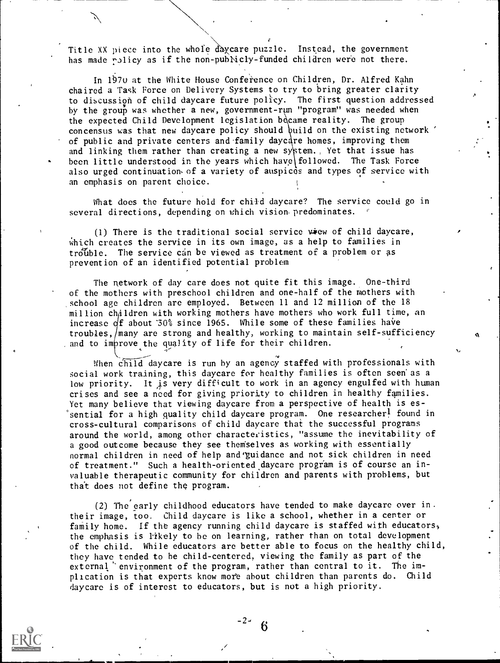Title XX piece into the whole daycare puzzle. Instead, the government has made policy as if the non-publicly-funded children were not there.

 $\sum_{i=1}^n\alpha_i\in\mathbb{R}$ 

In 1970 at the White House Conference on Children, Dr. Alfred Kahn chaired a Task Force on Delivery Systems to try to bring greater clarity to discussion of child daycare future policy. The first question addressed by the group was whether a new, government-run "program" was needed when the expected Child Development legislation became reality. The group concensus was that new daycare policy should build on the existing network ' of public and private centers and family daycare homes, improving them and linking them rather than creating a new system., Yet that issue has been little understood in the years which have followed. The Task Force also urged continuation of a variety of auspices and types of service with an emphasis on parent choice.

What does the future hold for child daycare? The service could go in several directions, depending on which vision. predominates.

 $(1)$  There is the traditional social service view of child daycare, which creates the service in its own image, as a help to families in trouble. The service can be viewed as treatment of a problem or as prevention of an identified potential problem

The network of day care does not quite fit this image. One-third of the mothers with preschool children and one-half of the mothers with school age children are employed. Between 11 and 12 million of the 18 million children with working mothers have mothers who work full time, an increase  $df$  about '30% since 1965. While some of these families have troubles, many are strong and healthy, working to maintain self-sufficiency and to improve the quality of life for their children.

A

When child daycare is run by an agency staffed with professionals with social work training, this daycare for healthy families is often seen' as a low priority. It is very difficult to work in an agency engulfed with human crises and see a need for giving priority to children in healthy families. Yet many believe that viewing daycare from a perspective of health is essential for a high quality child daycare program. One researcher<sup>1</sup> found in cross-cultural comparisons of child daycare that the successful programs around the world, among other characteristics, "assume the inevitability of a good outcome because they see themselves as working with essentially normal children in need of help and yuidance and not sick children in need of treatment." Such a health-oriented daycare program is of course an invaluable therapeutic community for children and parents with problems, but that does not define the program.

(2) The'early childhood educators have tended to make daycare over in. their image, too. Child daycare is like a school, whether in a center or family home. If the agency running child daycare is staffed with educators, the emphasis is likely to he on learning, rather than on total development of the child. While educators are better able to focus on the healthy child, they have tended to he child-centered, viewing the family as part of the external 'environment of the program, rather than central to it. The implication is that experts know more about children than parents do. Child daycare is of interest to educators, but is not a high priority.



-2-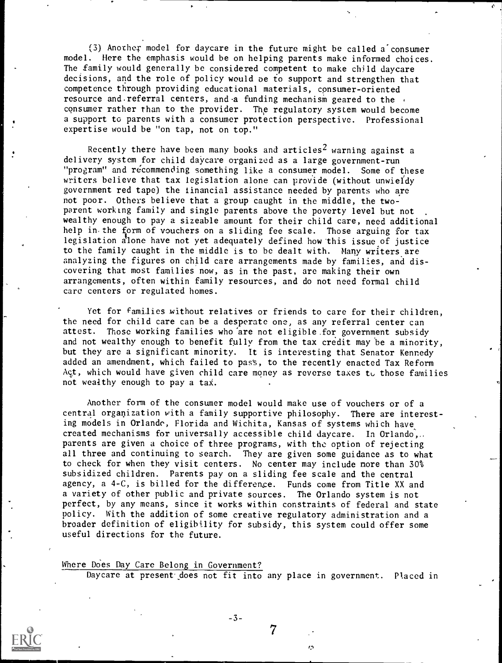(3) Anothex model for daycare in the future might be called a'consumer model. Here the emphasis would be on helping parents make informed choices. The Family would generally be considered competent to make child daycare decisions, and the role of policy would oe to support and strengthen that competence through providing educational materials, consumer-oriented resource and referral centers, and a funding mechanism geared to the consumer rather than to the provider. The regulatory system would become a support to parents with a consumer protection perspective. Professional expertise would be "on tap, not on top."

Recently there have been many books and articles<sup>2</sup> warning against a delivery system for child daycare organized as a large government-run "program" and recommending something like a consumer model. Some of these writers believe that tax legislation alone can provide (without unwieldy government red tape) the financial assistance needed by parents who are not poor. Others believe that a group caught in the middle, the twoparent working family and single parents above the poverty level but not wealthy enough to pay a sizeable amount for their child care, need additional help in. the form of vouchers on a sliding fee scale. Those arguing for tax legislation alone have not yet adequately defined how this issue of justice to the family caught in the middle is to be dealt with. Many writers are analyzing the figures on child care arrangements made by families, and discovering that most families now, as in the past, are making their own arrangements, often within family resources, and do not need formal child care centers or regulated homes.

Yet for families without relatives or friends to care for their children, the need for child care can be a desperate one, as any referral center can attest. Those working families who are not eligible for government subsidy and not wealthy enough to benefit fully from the tax credit may be a minority, but they are a significant minority. It is interesting that Senator Kennedy added an amendment, which failed to pass, to the recently enacted Tax Reform Act, which would have given child care money as reverse taxes to those families not wealthy enough to pay a tax.

Another form of the consumer model would make use of vouchers or of a central organization with a family supportive philosophy. There are interesting models in Orlando, Florida and Wichita, Kansas of systems which have created mechanisms for universally accessible child daycare. In Orlando,.. parents are given a choice of three programs, with the option of rejecting all three and continuing to search. They are given some guidance as to what to check for when they visit centers. No center may include more than 30% subsidized children. Parents pay on a sliding fee scale and the central agency, a 4-C, is billed for the difference. Funds come from Title XX and a variety of other public and private sources. The Orlando system is not perfect, by any means, since it works within constraints of federal and state policy. With the addition of some creative regulatory administration and a broader definition of eligibility for subsidy, this system could offer some useful directions for the future.

Where Does Day Care Belong in Government? Daycare at present does not fit into any place in government. Placed in

7

 $\sqrt{2}$ 

-3-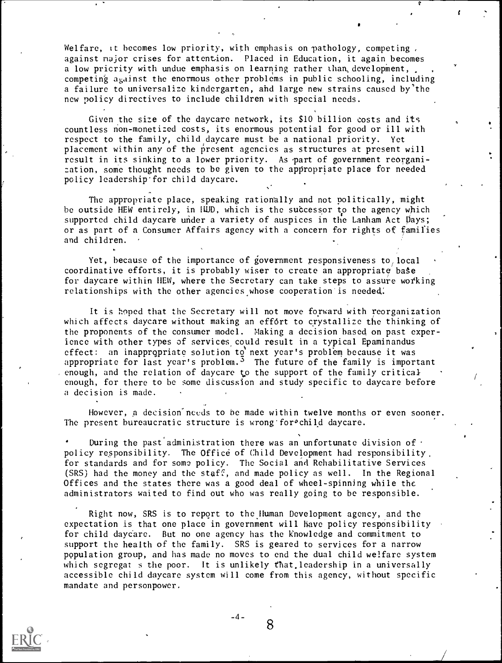Welfare, it becomes low priority, with emphasis on pathology, competing, against major crises for attention. Placed in Education, it again becomes a low pricrity with undue emphasis on learning rather than, development, competing against the enormous other problems in public schooling, including a failure to universalize kindergarten, and large new strains caused by'the new policy directives to include children with special needs.

Given the size of the daycare network, its \$10 billion costs and its countless non-monetized costs, its enormous potential for good or ill with respect to the family, child daycare must be a national priority. Yet placement within any of the present agencies as structures at present will result in its sinking to a lower priority. As part of government reorganization, some thought needs to be given to the appropriate place for needed policy leadership'for child daycare.

The appropriate place, speaking rationally and not politically, might be outside HEW entirely, in HUD, which is the successor to the agency which supported child daycare under a variety of auspices in the Lanham Act Days; or as part of a Consumer Affairs agency with a concern for rights of families and children.

Yet, because of the importance of government responsiveness to local coordinative efforts, it is probably wiser to create an appropriate base for daycare within HEW, where the Secretary can take steps to assure working relationships with the other agencies whose cooperation'is needed:

It is hoped that the Secretary will not move forward with reorganization which affects daycare without making an effort to crystallize the thinking of the proponents of the consumer model. Making a decision based, on past experience with other types of services, could result in a typical Epaminandus effect: an inappropriate solution to next year's problem because it was appropriate for last year's problem.<sup>3</sup> The future of the family is important enough, and the relation of daycare to the support of the family critical enough, for there to be some discussion and study specific to daycare before a decision is made.

However, a decision needs to be made within twelve months or even sooner. The present bureaucratic structure is wrong for ochild daycare.

During the past administration there was an unfortunate division of  $\cdot$ policy responsibility. The Office of Child Development had responsibility. for standards and for some policy. The Social and Rehabilitative Services (SRS) had the money and the staff, and made policy as well. In the Regional Offices and the states there was a good deal of wheel-spinning while the administrators waited to find out who was really going to be responsible.

Right now, SRS is to report to the human Development agency, and the expectation is that one place in government will have policy responsibility for child daycare. But no one agency has the knowledge and commitment to support the health of the family. SRS is geared to services for a narrow population group, and has made no moves to end the dual child welfare system which segregat s the poor. It is unlikely that leadership in a universally accessible child daycare system will come from this agency, without specific mandate and personpower.



8

-4-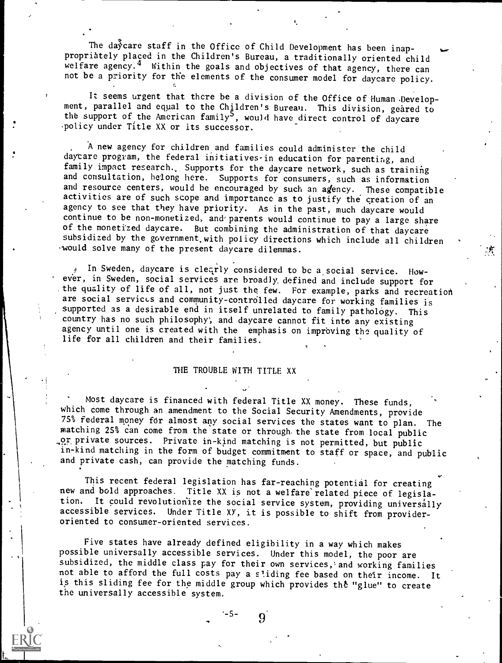The daycare staff in the Office of Child Development has been inappropriately placed in the Children's Bureau, a traditionally oriented child welfare agency.<sup>4</sup> Within the goals and objectives of that agency, there can not be a priority for the elements of the consumer model for daycare policy.

It seems urgent that there be a division of the Office of Human Development, parallel and equal to the Children's Bureau. This division, geared to the support of the American family<sup>5</sup>, would have direct control of daycare .policy under Title XX or its successor.

A new agency for children and families could administer the child daycare program, the federal initiatives-in education for parenting, and family impact research., Supports for the daycare network, such as training and consultation, belong here. Supports for consumers, such as information and resource centers, would be encouraged by such an agency. These compatible activities are of such scope and importance as to justify the creation of an agency to see that they have priority. As in the past, much daycare would continue to be non-monetized, and parents would continue to pay a large share of the monetized daycare. But combining the administration of that daycare subsidized by the government.with policy directions which include all children would solve many of the present daycare dilemmas.

In Sweden, daycare is clearly considered to be a social service. However, in Sweden, social services are broadly, defined and include support for the quality of life of all, not just the few. For example, parks and recreation are social services and community-controlled daycare for working families is supported as a desirable end in itself unrelated to family pathology. This country has no such philosophy; and daycare cannot fit into any existing agency until one is created with the emphasis on improving the quality of life for all children and their families.

# THE TROUBLE WITH TITLE XX

Most daycare is financed with federal Title XX money. These funds, which come through an amendment to the Social Security Amendments, provide 75% federal money for almost any social services the states want to plan. The matching 25% can come from the state or through. the state from local public or private sources. Private in-kind matching is not permitted, but public in-kind matching in the form of budget commitment to staff or space, and public and private cash, can provide the matching funds.

This recent federal legislation has far-reaching potential for creating new and bold approaches. Title XX is not a welfare related piece of legislation. It could revolutionize the social service system, providing universally accessible services. Under Title XY, it is possible to shift from provideroriented to consumer-oriented services.

Five states have already defined eligibility in a way which makes possible universally accessible services. Under this model, the poor are subsidized, the middle class pay for their own services,'and working families not able to afford the full costs pay a sliding fee based on their income. It is this sliding fee for the middle group which provides the "glue" to create the universally accessible system.

### -5-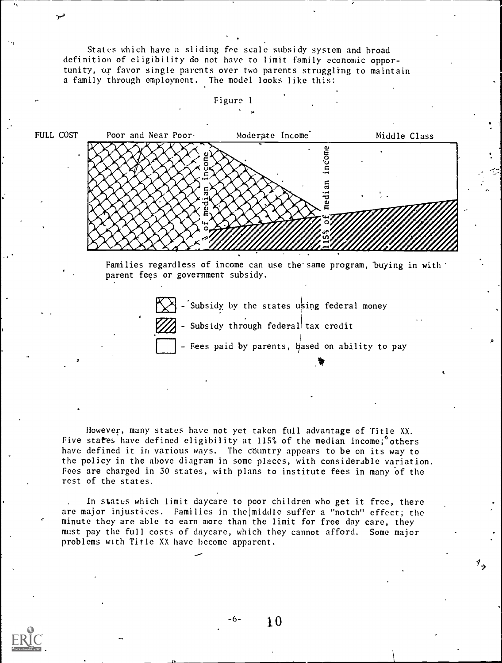States which have a sliding fee scale subsidy system and broad definition of eligibility do not have to limit family economic opportunity, or favor single parents over two parents struggling to maintain a family through employment. The model looks like this:



Families regardless of income can use the same program, buying in with parent fees or government subsidy.



However, many states have not yet taken full advantage of Title XX. Five states have defined eligibility at 115% of the median income;<sup>o</sup>others have defined it in various ways. The country appears to be on its way to the policy in the above diagram in some places, with considerable variation. Fees are charged in 30 states, with plans to institute fees in many of the rest of the states.

In states which limit daycare to poor children who get it free, there are major injustices. Families in the(middle suffer a "notch" effect; the minute they are able to earn more than the limit for free day care, they must pay the full costs of daycare, which they cannot afford. Some major problems with Title XX have become apparent.

-6- 10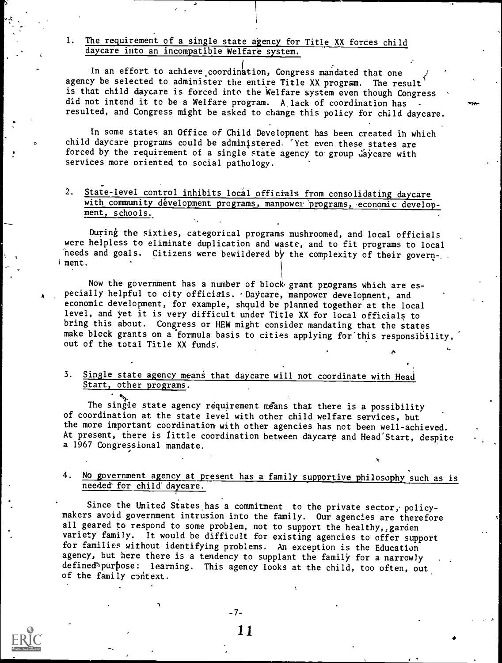# 1. The requirement of a single state agency for Title XX forces child daycare into an incompatible Welfare system.

In an effort to achieve coordination, Congress mandated that one agency be selected to administer the entire Title XX program. The result is that child daycare is forced into the Welfare system even though Congress did not intend it to be a Welfare program. A lack of coordination has resulted, and Congress might be asked to change this policy for child daycare.

In some states an Office of Child Development has been created ih which child daycare programs could be administered. 'Yet even these states are forced by the requirement of a single state agency to group daycare with services more oriented to social pathology.

### 2. State-level control inhibits local officials from consolidating daycare with community dévelopment programs, manpower programs, economic development, schools.

During the sixties, categorical programs mushroomed, and local officials were helpless to eliminate duplication and waste, and to fit programs to local needs and goals. Citizens were bewildered by the complexity of their government

Now the government has a number of block grant programs which are especially helpful to city officials. . Daycare, manpower development, and economic development, for example, shquld be planned together at the local level, and yet it is very difficult under Title XX for local officials to bring this about. Congress or HEW might consider mandating that the states make block grants on a formula basis to cities applying for this responsibility, out of the total Title XX funds'.

# 3. Single state agency means that daycare will not coordinate with Head Start, other programs.

The single state agency requirement means that there is a possibility of coordination at the state level with other child welfare services, but the more important coordination with other agencies has not been well-achieved. At present, there is little coordination between daycare and Head'Start, despite a 1967 Congressional mandate.

# 4. No government agency at present has a family supportive philosophy such as is needed for child daycare.

Since the United States has a commitment to the private sector, policymakers avoid government intrusion into the family. Our agencies are therefore all geared to respond to some problem, not to support the healthy, garden variety family. It would be difficult for existing agencies to offer support for families without identifying problems. An exception is the Education agency, but here there is a tendency to supplant the family for a narrowly defined purpose: learning. This agency looks at the child, too often, out of the family context.

-7-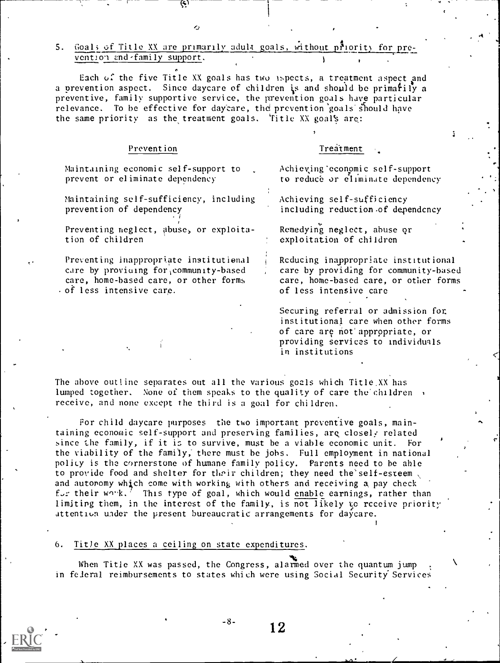## 5. Goals of Title XX are primarily adult goals, without priority for prevention and - family support.

 $\mathcal{L}$ 

Each of the five Title XX goals has two ispects, a treatment aspect and a prevention aspect. Since daycare of children is and should be primatily a preventive, family supportive service, the prevention goals have particular relevance. To be effective for daycare, the prevention goals should have the same priority as the treatment goals. Thitle XX goal's are:

### Prevention

### Treatment

Maintaining economic self-support to prevent or eliminate dependency

Maintaining self-sufficiency, including prevention of dependency

Preventing neglect, abuse, or exploitation of children

Preventing inappropriate institutional care by proviuing for, community-based care, home-based care, or other forms of less intensive carp.

Achieving'economic self-support to reduce or eliminate dependency

Achieving self-sufficiency including reduction of dependency

Remedying neglect, abuse or exploitation of children

Rcducing inappropriate institutional care by providing for community-based care, home-based care, or other forms of less intensive care

Securing referral or admission fot institutional care when other forms of care are not appropriate, or providing services to individuals in institutions

The above outline separates out all the various goals which Title.XX has lumped together. None of them speaks to the quality of care the children receive, and none except the third is a goal for children.

For child daycare purposes the two important preventive goals, maintaining economic self-support and preserving families, are closely related since the family, if it is to survive, must he a viable economic unit. For the viability of the family; there must he jobs. Full employment in national policy is the cornerstone of humane family policy. Parents need to be able to provide food and shelter for their children; they need the self-esteem, and autoromy which come with working with others and receiving a pay check for their work.' This type of goal, which would enable earnings, rather than limiting them, in the interest of the family, is not likely to receive priorit;' attention wider the present bureaucratic arrangements for daycare.

#### 6. Title XX places a ceiling on state expenditures.

When Title XX was passed, the Congress, alarmed over the quantum jump in feieral reimbursements to states which were using Social Security Services



 $-8-$  12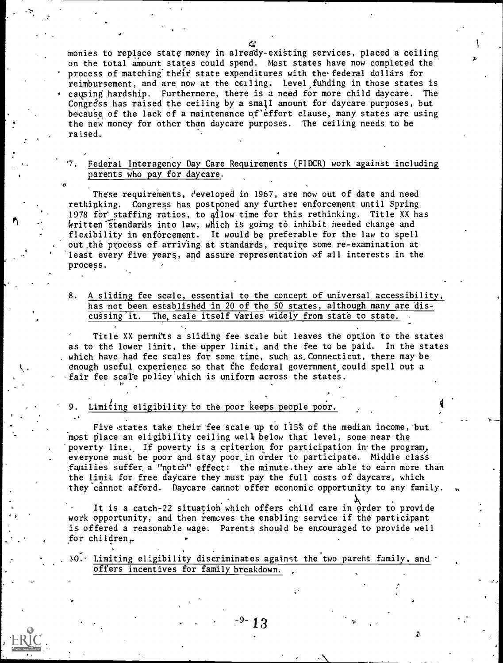ا المجدّ المعدّ monies to replace state money in already-existing services, placed a ceiling  $\qquad$ on the total amount states could spend. Most states have now completed the process of matching their state expenditures with the federal dollars for reimbursement, and are now at the ceiling. Level funding in those states is  $\cdot$  causing hardship. Furthermore, there is a need for more child daycare. The Congress has raised the ceiling by a small amount for daycare purposes, but because of the lack of a maintenance of effort clause, many states are using the new money for other than daycare purposes. The ceiling needs to be raised.

# Federal Interagency Day Care Requirements (FIDCR) work against including parents who pay for daycare.

These requirements, developed in 1967, are now out of date and need rethinking. Congress has postponed any further enforcement until Spring kritten`standards into law, which is going to inhibit needed change and 1978 for staffing ratios, to  $\hat{\phi}$ low time for this rethinking. Title XX has flexibility in enforcement. It would be preferable for the law to spell out.the process of arriving at standards, require some re-examination at least every five years, and assure representation of all interests in the process.

8. A sliding fee scale, essential to the concept of universal accessibility, has not been established in 20 of the 50 states, although many are discussing it. The scale itself varies widely from state to state.

Title XX permits a sliding fee scale but leaves the Option to the states as to the lower limit, the upper limit, and the fee to be paid. In the states . which have had fee scales for some time, such as. Connecticut, there may be enough useful experience so that the federal government could spell out a -fair fee scale policy which is uniform across the states.

### Limiting eligibility to the poor keeps people poor.

 $\mathbf{v}$ 

Five states take their fee scale up to  $115\%$  of the median income, but most place an eligibility ceiling well below that level, some near the poverty line. If poverty is a criterion for participation in the program, everyone must be poor and stay poor\_in order to participate. Middle class families suffer, a "notch" effect: the minute,they are able to earn more than the limit for free daycare they must pay the full costs of daycare, which they cannot afford. Daycare cannot offer economic opportunity to any family.

It is a catch-22 situation which offers child care in order to provide work opportunity, and then removes the enabling service if the participant is offered a reasonable wage. Parents should be encouraged to provide well for children,

 $10.$  Limiting eligibility discriminates against the two parent family, and offers incentives for family breakdown.

.

c.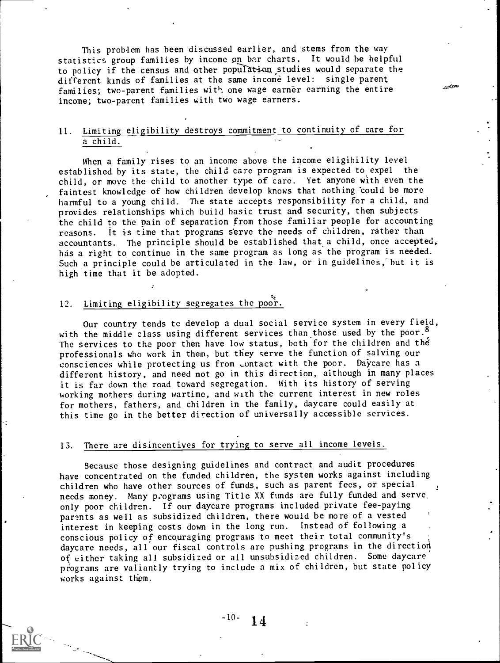This problem has been discussed earlier, and stems from the way statistics group families by income pn bar charts. It would be helpful to policy if the census and other population studies would separate the different kinds of families at the same income level: single parent families; two-parent families with one wage earner earning the entire income; two-parent families with two wage earners.

# 11. Limiting eligibility destroys commitment to continuity of care for a child.

When a family rises to an income above the income eligibility level established by its state, the child care program is expected to expel the child, or move the child to another type of care. Yet anyone with even the faintest knowledge of how children develop knows that nothing could be more harmful to a young child. The state accepts responsibility for a child, and provides relationships which build basic trust and security, then subjects the child to the pain of separation from those familiar people for accounting reasons. It is time that programs serve the needs of children, rather than accountants. The principle should be established that a child, once accepted, has a right to continue in the same program as long as the program is needed. Such a principle could be articulated in the law, or in guidelines, but it is high time that it be adopted.

### 12. Limiting eligibility segregates the poor.

Our country tends to develop a dual social service system in every field, with the middle class using different services than those used by the poor.<sup>8</sup> The services to the poor then have low status, both for the children and the professionals who work in them, but they serve the function of salving our consciences while protecting us from contact with the poor. Daycare has a different history, and need not go in this direction, although in many places it is far down the road toward segregation. With its history of serving working mothers during wartime, and with the current interest in new roles for mothers, fathers, and children in the family, daycare could easily at this time go in the better direction of universally accessible services.

### 13. There are disincentives for trying to serve all income levels.

Because those designing guidelines and contract and audit procedures have concentrated on the funded children, the system works against including children who have other sources of funds, such as parent fees, or special needs money. Many p:ograms using Title XX funds are fully funded and serve, only poor children. If our daycare programs included private fee-paying parents as well as subsidized children, there would be more of a vested interest in keeping costs down in the long run. Instead of following a conscious policy of encouraging programs to meet their total community's daycare needs, all our fiscal controls are pushing programs in the direction of either taking all subsidized or all unsubsidized children. Some daycare programs are valiantly trying to include a mix of children, but state policy works against them.

# $-10-14$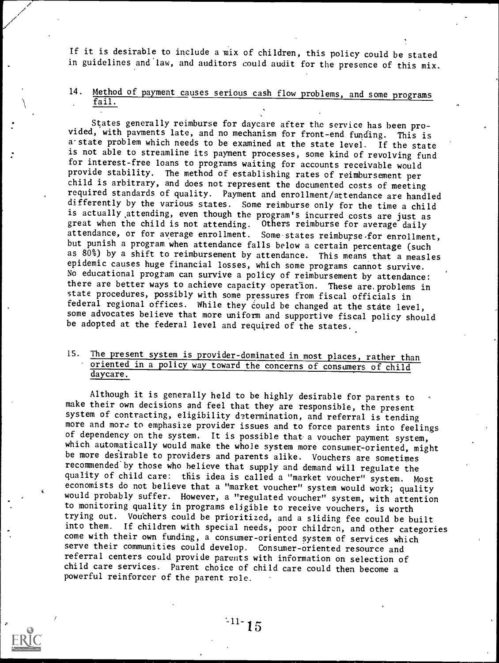If it is desirable to include a mix of children, this policy could be stated in guidelines and law, and auditors could audit for the presence of this mix.

# 14. Method of payment causes serious cash flow problems, and some programs fail.

States generally reimburse for daycare after the service has been provided, with payments late, and no mechanism for front-end funding. This is a state problem which needs to be examined at the state level. If the state is not able to streamline its payment processes, some kind of revolving fund for interest-free loans to programs waiting for accounts receivable would provide stability. The method of establishing rates of reimbursement per child is arbitrary, and does not represent the documented costs of meeting required standards of quality. Payment and enrollment/attendance are handled differently by the various states. Some reimburse only for the time a child is actually attending, even though the program's incurred costs are just as great when the child is not attending. Others reimburse for average daily attendance, or for average enrollment. Some states reimburse for enrollment, but punish a program when attendance falls below a certain percentage (such as 80%) by a shift to reimbursement by attendance. This means that a measles epidemic causes huge financial losses, which some programs cannot survive. No educational program can survive a policy of reimbursement by attendance: there are better ways to achieve capacity operation. These are, problems in state procedures, possibly with some pressures from fiscal officials in federal regional offices. While they could be changed at the state level, some advocates believe that more uniform and supportive fiscal policy should be adopted at the federal level and required of the states.

# 15. The present system is provider-dominated in most places, rather than oriented in a policy way toward the concerns of consumers of child daycare.

Although it is generally held to be highly desirable for parents to make their own decisions and feel that they are responsible, the present system of contracting, eligibility determination, and referral is tending more and more to emphasize provider issues and to force parents into feelings of dependency on the system. It is possible that-a voucher payment system, which automatically would make the whole system more consumer-oriented, might be more desirable to providers and parents alike. Vouchers are sometimes recommended by those who believe that supply and demand will regulate the quality of child care: this idea is called a "market voucher" system. Most economists do not believe that a "market voucher" system would work; quality would probably suffer. However, a "regulated voucher" system, with attention to monitoring quality in programs eligible to receive vouchers, is worth trying out. Vouchers could be prioritized, and a sliding fee could be built into them. If children with special needs, poor children, and other categories come with their own funding, a consumer-oriented system of services which serve their communities could develop. Consumer-oriented resource and referral centers could provide parents with information on selection of child care services. Parent choice of child care could then become <sup>a</sup> powerful reinforcer of the parent role.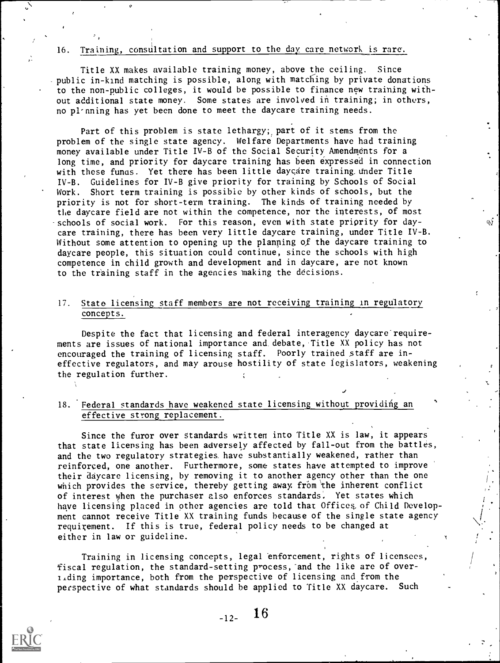### 16. Training, consultation and support to the day care network is rare.

Title XX makes available training money, above the ceiling. Since public in-kind matching is possible, along with matching by private donations to the non-public colleges, it would be possible to finance new training without additional state money. Some states are involved in training; in others, no pl-nning has yet been done to meet the daycare training needs.

Part of this problem is state lethargy; part of it stems from the problem of the single state agency. Welfare Departments have had training money available under Title IV-B of the Social Security Amendments for a long time, and priority for daycare training has been expressed in connection with these fungs. Yet there has been little daycare training under Title IV-B. Guidelines for IV-B give priority for training by Schools of Social Work. Short term training is possible by other kinds of schools, but the priority is not for short-term training. The kinds of training needed by the daycare field are not within the competence, nor the interests, of most -schools of social work. For this reason, even with state priority for daycare training, there has been very little daycare training, under Title IV-B. Without some attention to opening up the planning of the daycare training to daycare people, this situation could continue, since the schools with high competence in child growth and development and in daycare, are not known to the training staff in the agencies making the decisions.

### 17. State licensing staff members are not receiving training in regulatory concepts.

Despite the fact that licensing and federal interagency daycare requirements are issues of national importance and debate, Title XX policy has not encouraged the training of licensing staff. Poorly trained staff are ineffective regulators, and may arouse hostility of state legislators, weakening the regulation further.

### 18. Federal standards have weakened state licensing without providing an effective strong replacement.

Since the furor over standards written into Title XX is law, it appears that state licensing has been adversely affected by fall-out from the battles, and the two regulatory strategies have substantially weakened, rather than reinforced, one another. Furthermore, some states have attempted to improve their daycare licensing, by removing it to another agency other than the one which provides the service, thereby getting away from the inherent conflict of interest when the purchaser also enforces standards. Yet states which have licensing placed in other agencies are told that Offices of Child Development cannot receive Title XX training funds because of the single state agency requirement. If this is true, federal policy needs to be changed at either in law or guideline.

/

أزبها

Training in licensing concepts, legal enforcement, rights of licensees, fiscal regulation, the standard-setting process, and the like are of overtiding importance, both from the perspective of licensing and from the perspective of what standards should be applied to Title XX daycare. Such



 $-12-$  16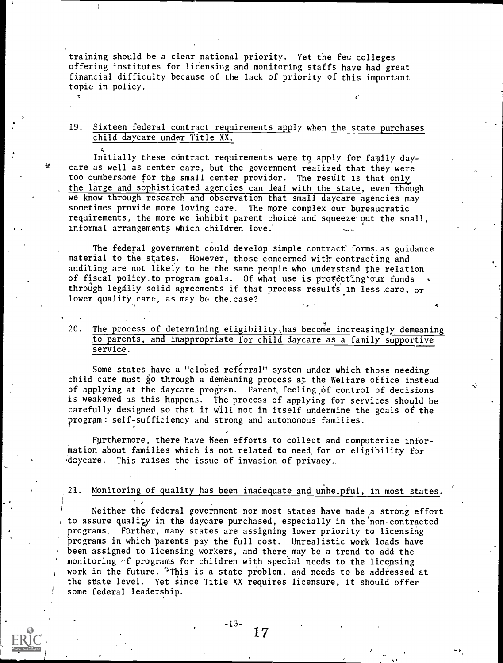training should be a clear national priority. Yet the few colleges offering institutes for licensing and monitoring staffs have had great financial difficulty because of the lack of priority of this important topic in policy.

### 19. Sixteen federal contract requirements apply when the state purchases child daycare under Title XX.

Initially these contract requirements were to apply for family daycare as well as center care, but the government realized that they were too cumbersome for the small center provider. The result is that only the large and sophisticated agencies can deal with the state, even though we know through research and observation that small daycare agencies may sometimes provide more loving care. The more complex our bureaucratic requirements, the more we inhibit parent choice and squeeze out the small, informal arrangements which children love.'

The federal government could develop simple contract forms. as guidance material to the states. However, those concerned with contracting and auditing are not likely to be the same people who understand the relation of fiscal policy to program goals. Of what use is protecting our funds through legally solid agreements if that process results in less care, or lower quality care, as may be the. case?

20. The process of determining eligibility, has become increasingly demeaning to parents, and inappropriate for child daycare as a family supportive service.

Some states have a "closed referral" system under which those needing child care must go through a demeaning process at the Welfare office instead of applying at the daycare program. Parent feeling of control of decisions is weakened as this happens. The process of applying for services should be carefully designed so that it will not in itself undermine the goals of the program: self-sufficiency and strong and autonomous families.

yL

Furthermore, there have been efforts to collect and computerize information about families which is not related to need, for or eligibility for daycare. This raises the issue of invasion of privacy.

21. Monitoring of quality has been inadequate and unhelpful, in most states.

Neither the federal government nor most states have made a strong effort to assure quality in the daycare purchased, especially in the non-contracted programs. Further, many states are assigning lower priority to licensing Programs in which parents pay the full cost. Unrealistic work loads have been assigned to licensing workers, and there may be a trend to add the monitoring of programs for children with special needs to the licensing work in the future. <sup>\*</sup>This is a state problem, and needs to be addressed at the state level. Yet since Title XX requires licensure, it should offer some federal leadership.

> -13- 17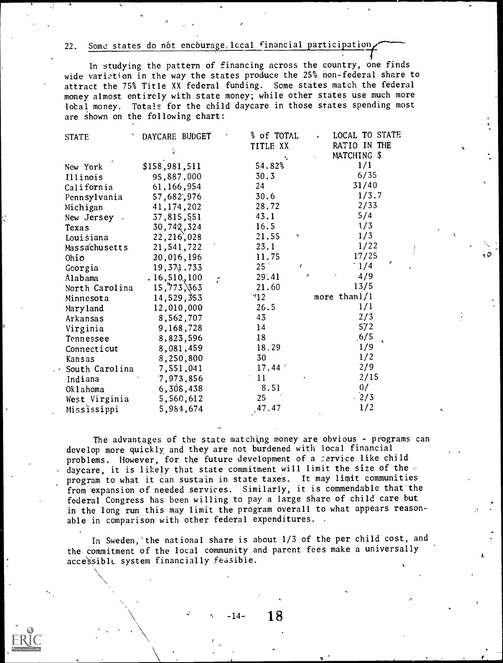22. Some states do nót encòurage, local financial participation

In studying the pattern of financing across the country, one finds wide variation in the way the states produce the 25% non-federal share to attract the 75% Title XX federal funding. Some states match the federal money almost entirely with state money; while other states use much more lotal money. Totals for the child daycare in those states spending most are shown on the following chart:

| <b>STATE</b>   | DAYCARE BUDGET | % of TOTAL            | LOCAL TO STATE  |
|----------------|----------------|-----------------------|-----------------|
|                |                | TITLE XX              | RATIO IN THE    |
|                |                |                       | MATCHING \$     |
| New York       | \$158,981,511  | 54.82%                | 1/1             |
| Illinois       | 95,887,000     | 30.3                  | 6/35            |
| California     | 61,166,954     | 24                    | 31/40           |
| Pennsylvania   | 57,682,976     | 30.6                  | 1/3.7           |
| Michigan       | 41, 174, 202   | 28.72                 | 2/33            |
| New Jersey -   | 37,815,551     | 43.1                  | 5/4             |
| Texas          | 30,742,324     | 16.5                  | 1/3             |
| Louisiana      | 22, 216, 028   | 21.55<br>٠            | 1/3             |
| Massachusetts  | 21,541,722     | 23.1                  | 1/22            |
| Ohio           | 20,016,196     | 11.75                 | 17/25           |
| Georgia        | 19, 371, 733   | 25 <sup>°</sup><br>ĸ. | c<br>$-1/4$     |
| Alabama        | .16, 510, 100  | 29,41<br>A.           | 4/9             |
| North Carolina | 15,773,863     | 21.60                 | 13/5            |
| Minnesota      | 14,529,353     | 12                    | more than $1/1$ |
| Maryland       | 12,010,000     | 26.5                  | 1/1             |
| Arkansas       | 8,562,707      | 43                    | 2/3             |
| Virginia       | 9,168,728      | 14                    | 572             |
| Tennessee      | 8,823,596      | 18                    | .6/5            |
| Connecticut    | 8,081,459      | 18.29                 | 1/9             |
| Kansas         | 8,250,800      | 30                    | 1/2             |
| South Carolina | 7,551,041      | 17.44                 | 2/9             |
| Indiana        | 7,973,856      | 11                    | 2/15            |
| Oklahoma       | 6,308,438      | 8.51                  | 0/              |
| West Virginia  | 5,560,612      | 25                    | $-2/3$          |
| Mississippi    | 5,984,674      | .47.47                | 1/2             |

The advantages of the state matching money are obvious - programs can develop more quickly, and they are not burdened with local financial problems. However, for the future development of a service like child daycare, it is likely that state commitment will limit the size of the  $\ge$ program to what it can sustain in state taxes. It may limit communities from 'expansion of needed services. Similarly, it is commendable that'the federal Congress has been willing to pay a large share of child care but in the long run this may limit the program overall to what appears reasonable in comparison with other federal expenditures.

In Sweden,'the national share is about 1/3 of the per child cost, and the commitment of the local community and parent fees make a universally accessible system financially feasible.

No. and the state of the

-14- 18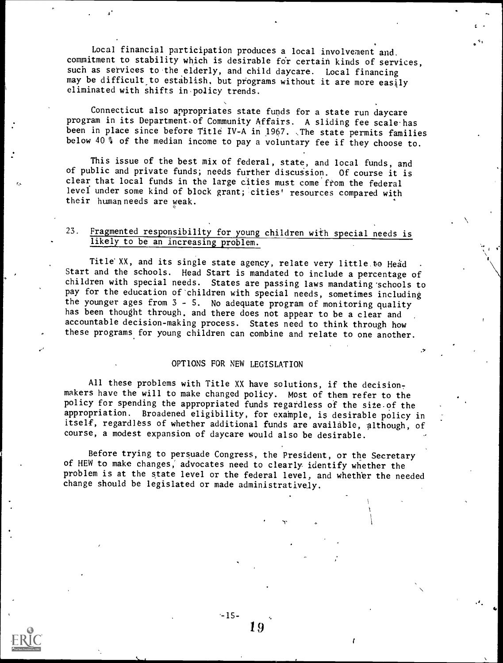Local financial participation produces a local involvement and. commitment to stability which is desirable for certain kinds of services, such as services to the elderly, and child daycare. Local financing may be difficult to establish, but programs without it are more easily eliminated with shifts in.policy trends.

Connecticut also appropriates state funds for a state run daycare program in its Department. of Community Affairs. A sliding fee scale-has been in place since before Title IV-A in 1967. The state permits families below 40 % of the median income to pay a voluntary fee if they choose to.

This issue of the best mix of federal, state, and local funds, and of public and private funds; needs further discussion. Of course it is clear that local funds in the large cities must come from the federal level under some kind of block grant; cities' resources compared with their human needs are weak.

# 23. Fragmented responsibility for young children with special needs is likely to be an increasing problem.

Title XX, and its single state agency, relate very little to Head Start and the schools. Head Start is mandated to include a percentage of children with special needs. States are passing laws mandating schools to pay for the education of'children with special needs, sometimes including the younger ages from 3 - S. No adequate program of monitoring quality has been thought through, and there does not appear to be a clear and accountable decision-making process. States need to think through how these programs for young children can combine and relate to one another.

### OPTIONS FOR NEW LEGISLATION

All these problems with Title XX have solutions, if the decisionmakers have the will to make changed policy. Most of them refer to the policy for spending the appropriated funds regardless of the site-of the appropriation. Broadened eligibility, for example, is desirable policy in itself, regardless of whether additional funds are available, although, of course, a modest expansion of daycare would also be desirable.

Before trying to persuade Congress, the President, or the Secretary of HEW to make changes; advocates need to clearly identify whether the problem is at the state level or the federal level, and whether the needed change should be legislated or made administratively.

 $-15-$ 

1!)

ry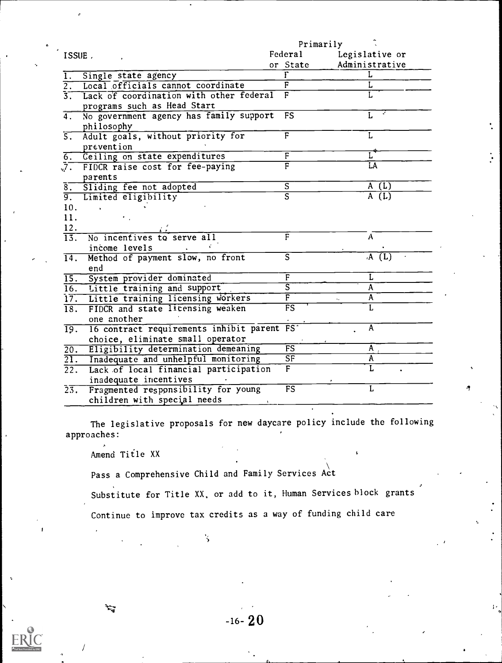|                                                                                                     | Primarily                |                |  |
|-----------------------------------------------------------------------------------------------------|--------------------------|----------------|--|
| ISSUE.                                                                                              | Federal                  | Legislative or |  |
|                                                                                                     | or State                 | Administrative |  |
| Single state agency                                                                                 |                          | L              |  |
| Local officials cannot coordinate<br>$\overline{2.}$                                                | F                        |                |  |
| 3. Lack of coordination with other federal<br>programs such as Head Start                           | F                        |                |  |
| No government agency has family support<br>4.<br>philosophy                                         | <b>FS</b>                |                |  |
| 5. Adult goals, without priority for<br>prevention                                                  | F                        | L              |  |
| 6. Ceiling on state expenditures                                                                    | F                        |                |  |
| 7. FIDCR raise cost for fee-paying<br>parents                                                       | $\overline{\mathrm{F}}$  | LA             |  |
| Sliding fee not adopted<br>$\bar{\mathbf{8}}$ .                                                     | $\overline{s}$           | A(L)           |  |
| Limited eligibility<br>$\overline{9.}$                                                              | $\overline{\mathsf{s}}$  | A(L)           |  |
| 10.                                                                                                 |                          |                |  |
| 11.                                                                                                 |                          |                |  |
| 12.                                                                                                 |                          |                |  |
| No incentives to serve all<br>$\overline{13}$ .                                                     | $\overline{\mathrm{F}}$  | A              |  |
| income levels                                                                                       |                          |                |  |
| Method of payment slow, no front<br>$\overline{14}$ .<br>end                                        | S                        | A(U)           |  |
| 15. System provider dominated                                                                       | F                        | L              |  |
| 16. Little training and support                                                                     | ड                        | $\mathbf{A}$   |  |
| 17. Little training licensing workers                                                               | $\overline{\textsf{F}}$  | A              |  |
| FIDCR and state licensing weaken<br>$\overline{18}$ .<br>one another                                | $\overline{\mathsf{FS}}$ |                |  |
| 16 contract requirements inhibit parent FS<br>$\overline{19}$ .<br>choice, eliminate small operator |                          | A              |  |
| Eligibility determination demeaning<br>$\overline{20.}$                                             | FS                       | $\mathsf{A}$   |  |
| Inadequate and unhelpful monitoring<br>$\overline{21}$ .                                            | $\overline{\text{SF}}$   | A              |  |
| Lack of local financial participation<br>$\overline{22}$ .<br>inadequate incentives                 | $\mathbf{F}$             |                |  |
| $2\overline{3}$ .<br>Fragmented responsibility for young<br>children with special needs             | $\overline{\mathrm{FS}}$ | L              |  |

The legislative proposals for new daycare policy include the following approaches:

' \

Amend Title XX

/

2ء

1

Pass a Comprehensive Child and Family Services Act

 $\mathbf{\dot{S}}$ 

Substitute for Title XX, or add to it, Human Services block grants

Continue to improve tax credits as a way of funding child care

 $-16-20$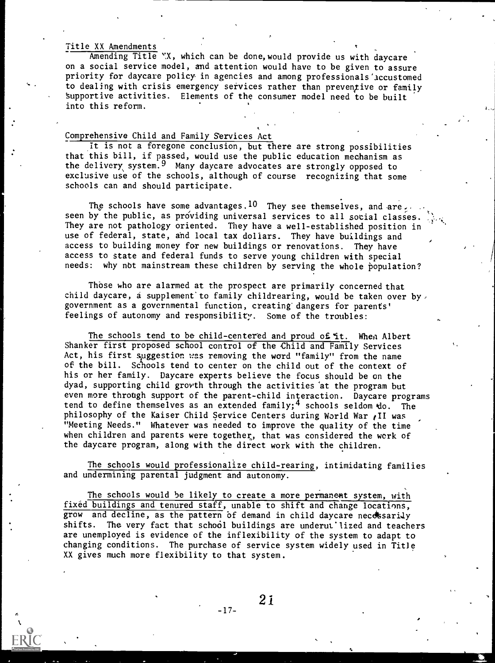### Title XX Amendments

Amending Title WX, which can be done, would provide us with daycare on a social service model, and attention would have to be given to assure priority for daycare policy in agencies and among professionals'accustomed to dealing with crisis emergency services rather than preventive or family supportive activities. Elements of the consumer model need to be built into this reform.

a ,

# Comprehensive Child and Family Services Act

It is not a foregone conclusion, but there are strong possibilities that this bill, if passed, would use the public education mechanism as the delivery system.<sup>9</sup> Many daycare advocates are strongly opposed to exclusive use of the schools, although of course recognizing that some schools can and should participate.

The schools have some advantages.<sup>10</sup> They see themselves, and are,... seen by the public, as providing universal services to all social classes. They are not pathology oriented. They have a well-established position in use of federal, state, and local tax dollars. They have buildings and access to building money for new buildings or renovations. They have access to state and federal funds to serve young children with special needs: why not mainstream these children by serving the whole population?

Those who are alarmed at the prospect are primarily concerned that child daycare, a supplement to family childrearing, would be taken over by, government as a governmental function, creating' dangers for parents' feelings of autonomy and responsibility. Some of the troubles:

The schools tend to be child-centered and proud of it. When Albert Shanker first proposed school control of the Child and Family Services Act, his first suggestion was removing the word "family" from the name of the bill. Schools tend to center on the child out of the context of his or her family. Daycare experts believe the focus should be on the dyad, supporting child growth through the activities 'at the program but even more through support of the parent-child interaction. Daycare programs tend to define themselves as an extended family;<sup>4</sup> schools seldom  $\text{do.}$  The philosophy of the Kaiser Child Service Centers during World War  $\imath$ II was "Meeting Needs." Whatever was needed to improve the quality of the time when children and parents were together, that was considered the work of the daycare program, along with the direct work with the children.

The schools would professionalize child-rearing, intimidating families and undermining parental judgment and autonomy.

The schools would be likely to create a more permanent system, with fixed buildings and tenured staff, unable to shift and change locations, grow and decline, as the pattern of demand in child daycare necessarily shifts. The very fact that school buildings are underut'lized and teachers are unemployed is evidence of the inflexibility of the system to adapt to changing conditions. The purchase of service system widely used in Title XX gives much more flexibility to that system.

21

-17-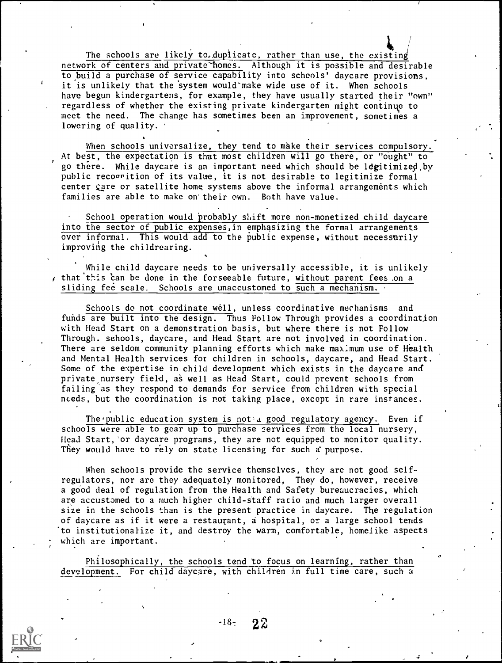The schools are likely to, duplicate, rather than use, the existing network of centers and private homes. Although it is possible and desirable to build a purchase of service capability into schools' daycare provisions, it is unlikely that the system would make wide use of it. When schools have begun kindergartens, for example, they have usually started their "own" regardless of whether the existing private kindergarten might continue to meet the need. The change has sometimes been an improvement, sometimes a lowering of quality.

When schools universalize, they tend to make their services compulsory. At best, the expectation is that most children will go there, or "ought" to go there. While daycare is an important need which should be legitimized by public recogrition of its value, it is not desirable to legitimize formal center gare or satellite home systems above the informal arrangements which families are able to make on'their own. Both have value.

School operation would probably  $s$ hift more non-monetized child daycare into the sector of public expenses,in emphasizing the formal arrangements over informal. This would add to the public expense, without necessarily improving the childrearing.

While child daycare needs to be universally accessible, it is unlikely that this can be done in the forseeable future, without parent fees on a sliding fee scale. Schools are unaccustomed to such a mechanism.

Schools do not coordinate well, unless coordinative mechanisms and funds are built into the design. Thus Follow Through provides a coordination with Head Start on a demonstration basis, but where there is not Follow Through. schools, daycare, and Head Start are not involved in coordination. There are seldom community planning efforts which make maximum use of Health and Mental Health services fox children in schools, daycare, and Head Start. Some of the expertise in child development which exists in the daycare and private nursery field, as well as Head Start, could prevent schools from failing 'as they respond to demands for service from children with special needs, but the coordination is not taking place, except in rare instances.

The public education system is not a good regulatory agency. Even if schools were able to gear up to purchase services from the local nursery, Head Start,'or daycare programs, they are not equipped to monitor quality. They would have to rely on state licensing for such a purpose.

When schools provide the service themselves, they are not good selfregulators, nor are they adequately monitored, They do, however, receive a good deal of regulation from the Health and Safety bureaucracies, which are accustomed to a much higher child-staff ratio and much larger overall size in the schools than is the present practice in daycare. The regulation of daycare as if it were a restaurant, a hospital, or a large school tends to institutionalize it, and destroy the warm, comfortable, homelike aspects which are important.

Philosophically, the schools tend to focus on learning, rather than development. For child daycare, with children in full time care, such a



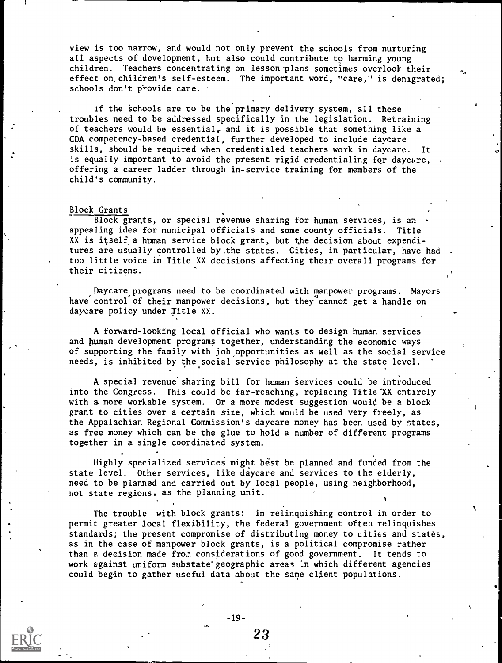view is too narrow, and would not only prevent the schools from nurturing all aspects of development, but also could contribute to harming young children. Teachers concentrating on lesson-plans sometimes overlook their effect on. children's self-esteem. The important word, "care," is denigrated; schools don't provide care.

if the schools are to be the primary delivery system, all these troubles need to be addressed specifically in the legislation. Retraining of teachers would be essential, and it is possible that something like a CDA competency-based credential, further developed to include daycare skills, should be required when credentialed teachers work in daycare. It is equally important to avoid the present rigid credentialing for daycare, offering a career ladder through in-service training for members of the child's community.

#### Block Grants

Block grants, or special revenue sharing for human services, is an appealing idea for municipal officials and some county officials. Title XX is itself a human service block grant, but the decision about expenditures are usually controlled by the states. Cities, in particular, have had too little voice in Title XX decisions affecting their overall programs for their citizens.

Daycare programs need to be coordinated with manpower programs. Mayors have control of their manpower decisions, but they cannot get a handle on daycare policy under Title XX.

A forward-looking local official who wants to design human services and human development programs together, understanding the economic ways of supporting the family with job,opportunities as well as the social service needs, is inhibited by the social service philosophy at the state level.

A special revenue' sharing bill for human services could be introduced into the Congress. This could be far-reaching, replacing Title 'XX entirely with a more workable system. Or a' more modest suggestion would be a block grant to cities over a certain size, which would be used very freely, as the Appalachian Regional Commission's daycare money has been used by states, as free money which can be the glue to hold a number of different programs together in a single coordinated system.

Highly specialized services might best be planned and funded from the state level. Other services, like daycare and services to the elderly, need to be planned and carried out by local people, using neighborhood, not state regions, as the planning unit.

The trouble with block grants: in relinquishing control in order to permit greater local flexibility, the federal government often relinquishes standards; the present compromise of distributing money to cities and states, as in the case of manpower block grants, is a political compromise rather than a decision made fro.: considerations of good government. It tends to work against uniform substate'geographic areas In which different agencies could begin to gather useful data about the same client populations.

 $-19-$ 

ON.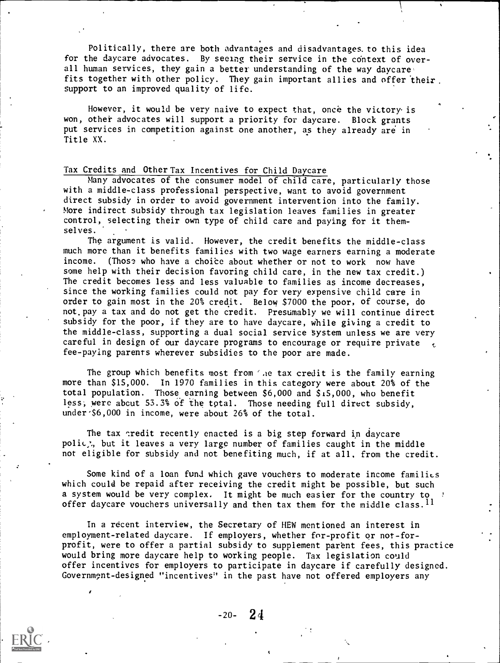Politically, there are both advantages and disadvantages. to this idea for the daycare advocates. By seeing their service in the context of overall human services, they gain a better understanding of the way daycare, fits together with other policy. They gain important allies and offer 'their. support to an improved quality of life.

However, it would be very naive to expect that, once the victory is won, other advocates will support a priority for daycare. Block grants put services in competition against one another, as they already are in Title XX.

### Tax Credits and Other Tax Incentives for Child Daycare

Many advocates of the consumer model of child care, particularly those with a middle-class professional perspective, want to avoid government direct subsidy in order to avoid government intervention into the family. More indirect subsidy through tax legislation leaves families in greater control, selecting their own type of child care and paying for it themselves.

The argument is valid. However, the credit benefits the middle-class much more than it benefits families with two wage earners earning a moderate income. (Those who have a choice about whether or not to work now have some help with their decision favoring child care, in the new tax credit.) The credit becomes less and less valuable to families as income decreases, since the working families could not pay for very expensive child care in order to gain most in the 20% credit. Below \$7000 the poor, of course, do not. pay a tax and do not get the credit. Presumably we will continue direct subsidy for the poor, if they are to have daycare, while giving a credit to the middle-class, supporting a dual social service system unless we are very careful in design of our daycare programs to encourage or require private fee-paying parents wherever subsidies to the poor are made.

The group which benefits most from 'he tax credit is the family earning more than \$15,000. In 1970 families in this category were about 20% of the total population. Those earning between \$6,000 and \$15,000, who benefit less; were abcut 53.3% of the total. Those needing full direct subsidy, under \$6,000 in income, were about 26% of the total.

The tax credit recently enacted is a big step forward in daycare polic<sub>,</sub>, but it leaves a very large number of families caught in the middle not eligible for subsidy and not benefiting much, if at all, from the credit.

Some kind of a loan fund which gave vouchers to moderate income families which could be repaid after receiving the credit might be possible, but such a system would be very complex. It might be much easier for the country to  $\ell$ offer daycare vouchers universally and then tax them for the middle class.  $^{11}$ 

In a recent interview, the Secretary of HEW mentioned an interest in employment-related daycare. If employers, whether for-profit or not-forprofit, were to offer a partial subsidy to supplement parent fees, this practice would bring more daycare help to working people. Tax legislation could offer incentives for employers to participate in daycare if carefully designed. Governmpnt-designed "incentives' in the past have not offered employers any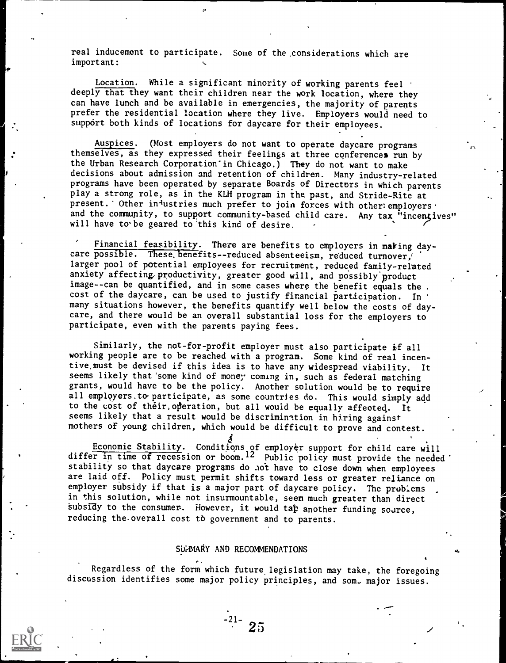real inducement to participate. Some of the considerations which are important:

Location. While a significant minority of working parents feel deeply that they want their children near the work location, where they can have lunch and be available in emergencies, the majority of parents prefer the residential location where they live. Employers would need to support both kinds of locations for daycare for their employees.

Auspices. (Most employers do not want to operate daycare programs themselves, as they expressed their feelings at three conferences run by the Urban Research Corporation'in Chicago.) They do not want to make decisions about admission and retention of children. Many industry-related programs have been operated by separate Boards of Directors in which parents play a strong role, as in the KLH program in the past, and Stride-Rite at present. 'Other in<sup>-1</sup>ustries much prefer to join forces with other: employers . and the community, to support community-based child care. Any tax "incentives" will have to be geared to this kind of desire.

Financial feasibility. There are benefits to employers in making daycare possible. These benefits--reduced absenteeism, reduced turnover, larger pool of potential employees for recruitment, reduced family-related anxiety affecting productivity, greater good will, and possibly product image--can be quantified, and in some cases where the benefit equals the. cost of the daycare, can be used to justify financial participation. In many situations however, the benefits quantify well below the costs of daycare, and there would be an overall substantial loss for the employers to participate, even with the parents paying fees.

Similarly, the not-for-profit employer must also participate if all working people are to be reached with a program. Some kind of real incentive,must be devised if this idea is to have any widespread viability. It seems likely that'some kind of money coming in, such as federal matching grants, would have to be the policy. Another solution would be to require all employers to participate, as some countries do. This would simply add to the cost of their, operation, but all would be equally affected. It seems likely that a result would be discrimination in hiring against mothers of young children, which would be difficult to prove and contest.

Economic Stability. Conditions of employer support for child care will differ in time of recession or boom.<sup>12</sup> Public policy must provide the needed stability so that daycare programs do .not have to close down when employees are laid off. Policy must permit shifts toward less or greater reliance on employer subsidy if that is a major part of daycare policy. The problems in this solution, while not insurmountable, seem much greater than direct subsidy to the consumer. However, it would tap another funding source, reducing the-overall cost to government and to parents.

### SUMMARY AND RECOMMENDATIONS

 $-21-$  25

Regardless of the form which future. legislation may take, the foregoing discussion identifies some major policy principles, and som. major issues.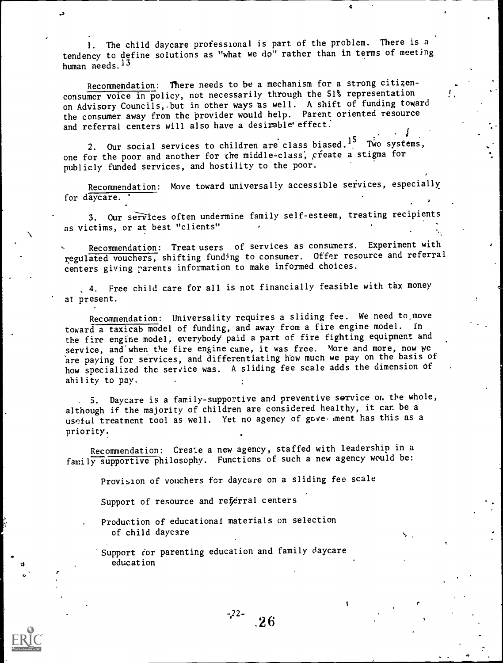1. The child daycare professional is part of the problem. There is a tendency to define solutions as "what we do" rather than in terms of meeting human needs.<sup>13</sup>

Recommendation: There needs to be a mechanism for a strong citizenconsumer voice in policy, not necessarily through the 51% representation on Advisory Councils, but in other ways as well. A shift of funding toward the consumer away from the provider would help. Parent oriented resource and referral centers will also have a desirable' effect.

2. Our social services to children are class biased.<sup>15</sup> Two systems, one for the poor and another for the middle-class, create a stigma for publicly funded services, and hostility to the poor.

Recommendation: Move toward universally accessible services, especially for daycare.

3. Our services often undermine family self-esteem, treating recipients as victims, or at best "clients"

Recommendation: Treat users of services as consumers. Experiment with regulated vouchers, shifting funding to consumer. Offer resource and referral centers giving parents information to make informed choices.

4. Free child care for aII is not financially feasible with tax money at present.

Recommendation: Universality requires a sliding fee. We need to move toward a taxicab model of funding, and away from a fire engine model. In the fire engine model, everybody paid a part of fire fighting equipment and service, and when the fire engine came, it was free. More and more, now we are paying for services, and differentiating how much we pay on the basis of how specialized the service was. A sliding fee scale adds the dimension of ability to pay.

S. Daycare is a family-supportive and preventive service or the whole, although if the majority of children are considered healthy, it can be a useful treatment tool as well. Yet no agency of gove. ment has this as a priority.

Recommendation: Create a new agency, staffed with leadership in a family supportive philosophy. Functions of such a new agency would be:

Provision of vouchers for daycare on a sliding fee scale

Support of resource and referral centers

Production of educational materials on selection of child daycare

Support for parenting education and family daycare education

 $-22$ - 26

r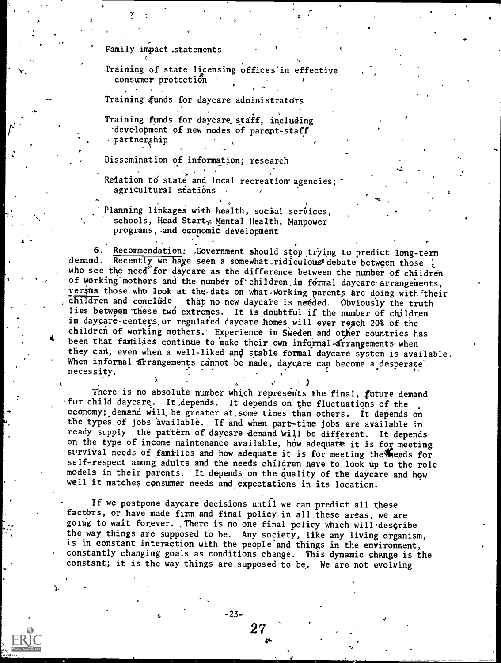Family impact, statements

r

Training of state licensing offices'in effective consumer protection

Training'.funds for daycare administratdrs

Training funds for daycare staff, including -development of new modes of parent-staff -partnership

Dissemination of information; research

. The second contribution of the second contribution  $\mathcal{L}^{\mathcal{L}}$ Relation to state and local recreation agencies; agricultural stations .

Planning linkages with health, social services, schools, Head Start, Mental Health, Manpower programs,.and economic development

<sup>e</sup> . \_ . 6. Recommendation: .Government should stop trying to predict long-term demand. Recently we have seen a somewhat ridiculous<sup>t</sup> debate between those ; who see the need for daycare as the difference between the number of children of working mothers and the number of children in formal daycare-arrangements, versus those who look at the data on what working parents are doing with their children and conclude that no new daycare is needed. Obviously the truth lies between these two extremes. It is doubtful if the number of children in daycare - centers or regulated daycare homes will ever reach 20% of the been that families continue to make their own informal arrangements when children of working mothers. Experience in Sweden and other countries has they can, even when a well-liked and stable formal daycare system is available. when informal arrangements cannot be made, daycare can become a desperate<br>necessity. . ,

There is no absolute number which represents the final, future demand for child daycare. It,depends. It depends on the fluctuations of the economy; demand will be greater at some times than others. It depends on the types of jobs available. If and when part-time jobs are available in ready supply the pattern of daycare demand will be different. It depends on the type of income maintenance available, how adequate it is for meeting survival needs of families and how adequate it is for meeting the heeds for self-respect among adults and the needs children have to look up to the role models in their parents. It depends on the quality of the daycare and how well it matches consumer needs and expectations in its location.

. Since the contract in the contract of  $\mathcal{S}^{\mathcal{A}}$  . In the contract of  $\mathcal{S}^{\mathcal{A}}$ 

If we postpone daycare decisions until we can predict all these factors, or have made firm and final policy in all these areas, we are going to wait forever. There is no one final policy which will describe the way things are supposed to be. Any society, like any living organism, is in constant interaction with the people and things in the environment, constantly changing goals as conditions change. This dynamic change is the constant; it is the way things are supposed to be. We are not evolving

27

-23-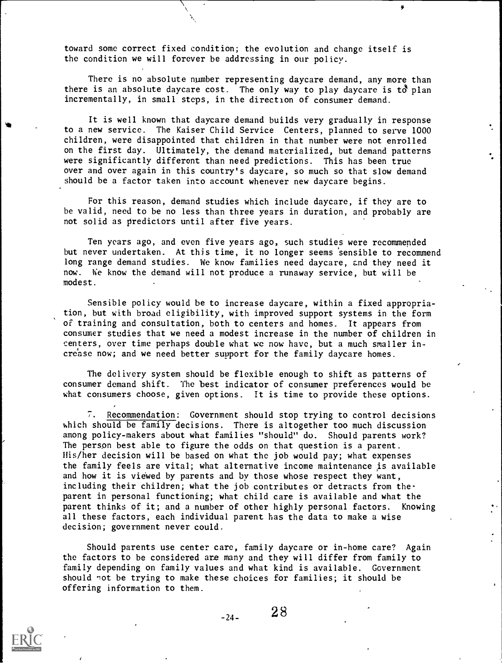toward some correct fixed condition; the evolution and change itself is the condition we will forever be addressing in our policy.

There is no absolute number representing daycare demand, any more than there is an absolute daycare cost. The only way to play daycare is  $t\delta$  plan incrementally, in small steps, in the direction of consumer demand.

It is well known that daycare demand builds very gradually in response to a new service. The Kaiser Child Service Centers, planned to serve 1000 children, were disappointed that children in that number were not enrolled on the first day. Ultimately, the demand materialized, but demand patterns were significantly different than need predictions. This has been true over and over again in this country's daycare, so much so that slow demand should be a factor taken into account whenever new daycare begins.

For this reason, demand studies which include daycare, if they are to be valid, need to be no less than three years in duration, and probably are not solid as predictors until after five years.

Ten years ago, and even five years ago, such studies were recommended but never undertaken. At this time, it no longer seems 'sensible to recommend long range demand studies. We know families need daycare, and they need it now. We know the demand will not produce a runaway service, but will be modest.

Sensible policy would be to increase daycare, within a fixed appropriation, but with broad eligibility, with improved support systems in the form of training and consultation, both to centers and homes. It appears from consumer studies that we need a modest increase in the number of children in centers, over time perhaps double what we now have, but a much smaller increase now; and we need better support for the family daycare homes.

The delivery system should be flexible enough to shift as patterns of consumer demand shift. The best indicator of consumer preferences would be what consumers choose, given options. It is time to provide these options.

7. Recommendation: Government should stop trying to control decisions which should be family decisions. There is altogether too much discussion among policy-makers about what families "should" do. Should parents work? The person best able to figure the odds on that question is a parent. His/her decision will be based on what the job would pay; what expenses the family feels are vital; what alternative income maintenance is available and how it is viewed by parents and by those whose respect they want, including their children; what the job contributes or detracts from theparent in personal functioning; what child care is available and what the parent thinks of it; and a number of other highly personal factors. Knowing all these factors, each individual parent has the data to make a wise decision; government never could.

Should parents use center care, family daycare or in-home care? Again the factors to be considered are many and they will differ from family to family depending on family values and what kind is available. Government should not be trying to make these choices for families; it should be offering information to them.

 $-24-$  28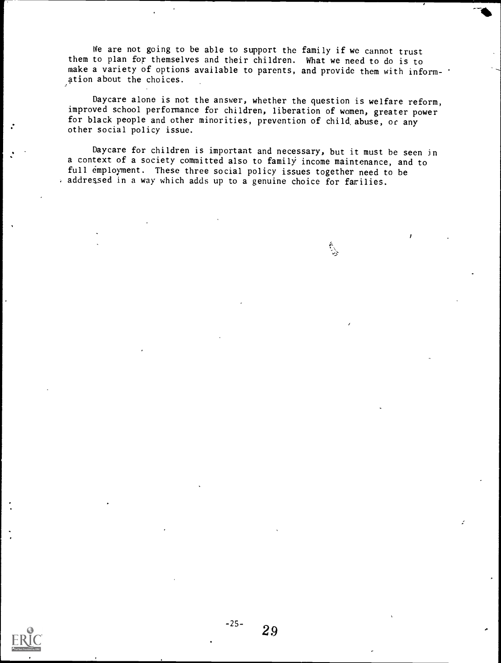We are not going to be able to support the family if we cannot trust them to plan for themselves and their children. What we need to do is to make a variety of options available to parents, and provide them with information about the choices.

Daycare alone is not the answer, whether the question is welfare reform, improved school performance for children, liberation of women, greater power for black people and other minorities, prevention of child abuse, or any other social policy issue.

Daycare for children is important and necessary, but it must be seen in a context of a society committed also to family income maintenance, and to full employment. These three social policy issues together need to be addressed in a way which adds up to a genuine choice for farilies.

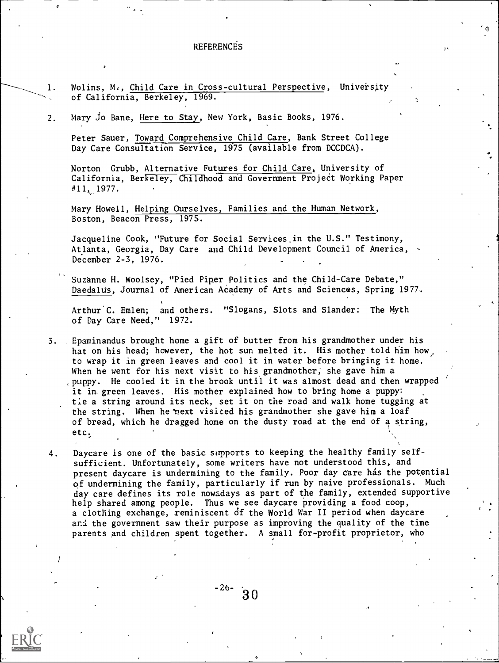### REFERENCES

1. Wolins, M., Child Care in Cross-cultural Perspective, University of California, Berkeley, 1969.

2. Mary Jo Bane, Here to Stay, New York, Basic Books, 1976.

Peter Sauer, Toward Comprehensive Child Care, Bank Street College Day Care Consultation Service, 1975 (available from DCCDCA).

Norton Grubb, Alternative Futures for Child Care, University of California, Berkeley, Childhood and Government Project Working Paper  $#11, 1977.$ 

Mary Howell, Helping Ourselves, Families and the Human Network, Boston, Beacon Press, 1975.

Jacqueline Cook, "Future for Social Services.in the U.S." Testimony, Atlanta, Georgia, Day Care and Child Development Council of America, December 2-3, 1976.

Suzanne H. Woolsey, "Pied Piper Politics and the Child-Care Debate," Daedalus, Journal of American Academy of Arts and Sciences, Spring 1977.

Arthur C. Emlen; and others. "Slogans, Slots and Slander: The Myth of Day Care Need," 1972.

3. Epaminandus brought home a gift of butter from his grandmother under his hat on his head; however, the hot sun melted it. His mother told him how, to wrap it in green leaves and cool it in water before bringing it home. When he went for his next visit to his grandmother; she gave him a puppy. He cooled it in the brook until it was almost dead and then wrapped it in-green leaves. His mother explained how to bring home a puppy: tie a string around its neck, set it on the road and walk home tugging at the string. When he°next visited his grandmother she gave him a loaf of bread, which he dragged home on the dusty road at the end of a string, etc

4. Daycare is one of the basic supports to keeping the healthy family selfsufficient. Unfortunately, some writers have not understood this, and present daycare is undermining to the family. Poor day care has the potential of undermining the family, particularly if run by naive professionals. Much day care defines its role nowadays as part of the family, extended supportive help shared among people. Thus we see daycare providing a food coop, a clothing exchange, reminiscent of the World War II period when daycare and the government saw their purpose as improving the quality of the time parents and children spent together. A small for-profit proprietor, who

 $-26-$  30

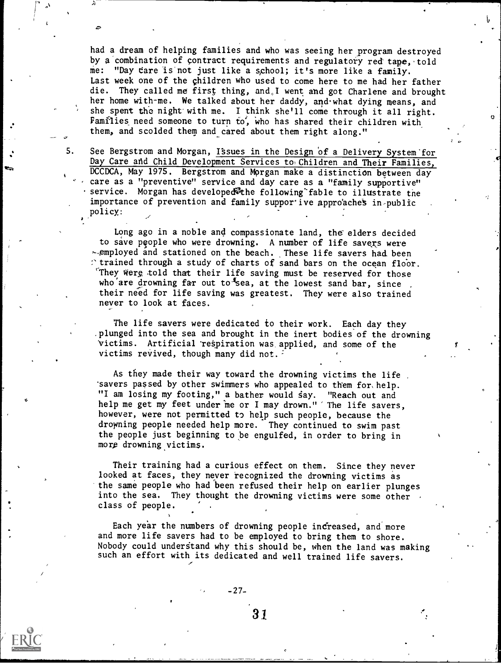them, and scolded them and cared about them right along." had a dream of helping families and who was seeing her program destroyed by a combination of contract requirements and regulatory red tape, told me: "Day care is not just like a school; it's more like a family. Last week one of the children who used to come here to me had her father die. They called me first thing, and,I went and got Charlene and brought her home with-me. We talked about her daddy, and what dying means, and she spent the night with me. I think she'll come through it all right. Families need someone to turn to, who has shared their children with

 $\tilde{z}$ 

5. See Bergstrom and Morgan, Issues in the Design of a Delivery System for Day Care and Child Development Services to Children and Their Families, DCCDCA, May 1975. Bergstrom and Morgan make a distinction between day care as a "preventive" service and day care as a "family supportive" service. Morgan has developed<sup>en</sup>the following fable to illustrate the importance of prevention and family suppor ive approaches in-public policy:

Long ago in a noble and compassionate land, the elders decided to save people who were drowning. A number of life savers were employed and stationed on the beach. These life savers had been  $\therefore$  trained through a study of charts of sand bars on the ocean floor. They were told that their life saving must be reserved for those who are drowning far out to sea, at the lowest sand bar, since their need for life saving was greatest. They were also trained never to look at faces.

The life savers were dedicated to their work. Each day they .plunged into the sea and brought in the inert bodies of the drowning Victims. Artificial respiration was, applied, and some of the victims revived, though many did not.

As they made their way toward the drowning victims the life . 'savers passed by other swimmers who appealed to them for, help. "I am losing my footing," a bather would say. "Reach out and help me get my feet under me or I may drown." The life savers, however, were not permitted to help such people, because the drowning people needed help more. They continued to swim past the people just beginning to be engulfed, in order to bring in more drowning victims.

Their training had a curious effect on them. Since they never looked at faces, they never recognized the drowning victims as the same people who had been refused their help on earlier plunges into the sea. They thought the drowning victims were some other class of people.

Each year the numbers of drowning people increased, and more and more life savers had to be employed to bring them to shore. Nobody could understand why this should be, when the land was making such an effort with its dedicated and well trained life savers.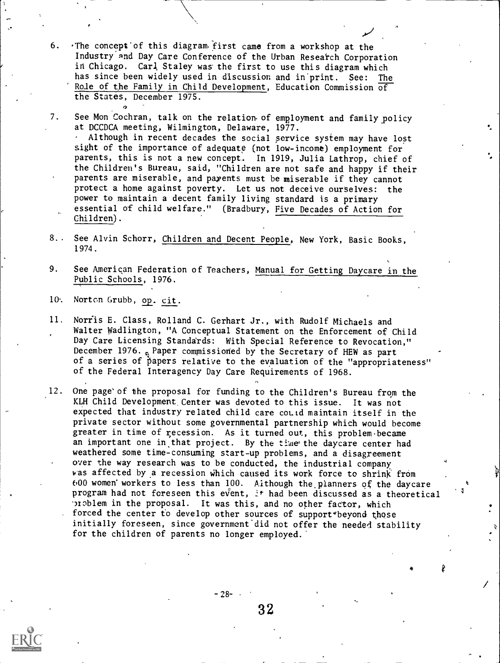- 6. The concept of this diagram. first came from a workshop at the Industry and Day Care Conference of the Urban Research Corporation in Chicago. Carl Staley was the first to use this diagram which has since been widely used in discussion and in print. See: The Role of the Family in Child Development, Education Commission  $\overline{of}$ the States, December 1975.
- 7. See Mon Cochran, talk on the relation of employment and family policy at DCCDCA meeting, Wilmington, Delaware, 1977.

Although in recent decades the social service system may have lost sight of the importance of adequate (not low-income) employment for parents, this is not a new concept.. In 1919, Julia Lathrop, chief of the Children's Bureau, said, "Children are pot safe and happy if their parents are miserable, and parents must be miserable if they cannot protect a home against poverty. Let us not deceive ourselves: the power to maintain a decent family living standard is a primary essential of child welfare." (Bradbury, Five Decades of Action for Children).

- 8. See Alvin Schorr, Children and Decent People, New York, Basic Books, 1974.
- 9. See American Federation of Teachers, Manual for Getting Daycare in the Public Schools, 1976.
- 10. Norton Grubb, op. cit.

 $\alpha$  and  $\alpha$ 

- 11. Norris E. Class, Rolland C. Gerhart Jr., with Rudolf Michaels and Walter Wadlington, "A Conceptual Statement on the Enforcement of Child Day Care Licensing Standards: With Special Reference to Revocation," December 1976.  $\alpha$  Paper commissioned by the Secretary of HEW as part of a series of papers relative to the evaluation of the "appropriateness" of the Federal Interagency Day Care Requirements of 1968.
- 12. One page'of the proposal for funding to the Children's Bureau from the KLH Child Development, Center was devoted to this issue. It was not expected that industry related child care coLtd maintain itself in the private sector without some governmental partnership which would become greater in time of recession. As it turned out, this problem became an important one in that project. By the time the daycare center had weathered some time-consuming start-up problems, and a disagreement over the way research was to be conducted, the industrial company was affected by a recession which caused its work force to shrink from 600 women'workers to less than 100. Although the.planners of the daycare program had not foreseen this event, it had been discussed as a theoretical 'noblem in the proposal. It was this, and no other factor, which forced the center to develop other sources of support beyond those initially foreseen, since government'did not offer the needed stability for the children of parents no longer employed.

32

 $-28-$ 

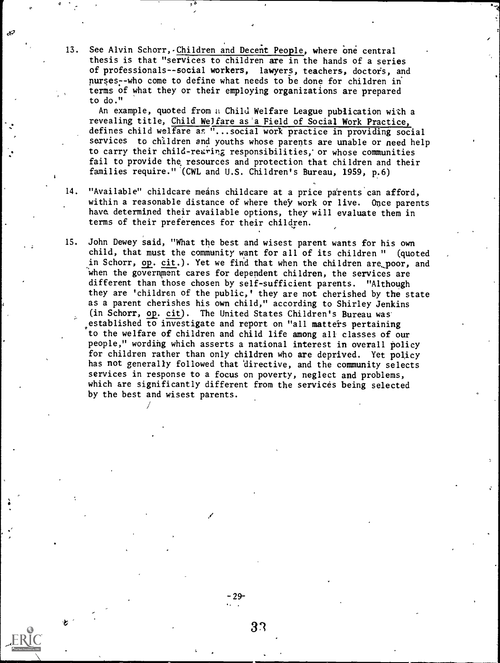13. See Alvin Schorr,-Children and Decent People, where one central thesis is that "services to children are in the hands of a series of professionals--social workers, lawyers, teachers, doctors, and nurses- -who come to define what needs to be done for children in terms of what they or their employing organizations are prepared to do."

 $\sim$   $\sim$ 

È

An example, quoted from a Child Welfare League publication with a revealing title, Child Welfare as'a Field of Social Work Practice, defines child welfare as "...social work practice in providing social services to children and youths whose parents are unable or need help to carry their child-rearing responsibilities, or whose communities fail to provide the resources and protection that children and their families require." '(CWL and U.S. Children's Bureau, 1959, p.6)

- 14. "Available" childcare means childcare at a price parents can afford, within a reasonable distance of where they work or live. Once parents have determined their available options, they will evaluate them in terms of their preferences for their children.
- 15. John Dewey said, "What the best and wisest parent wants for his own child, that must the community want for all of its children " (quoted in Schorr, op. cit.). Yet we find that when the children are poor, and when the government cares for dependent children, the services are different than those chosen by self-sufficient parents. "Although they are 'children of the public,' they are not cherished by the state as a parent cherishes his own child," according to Shirley Jenkins (in Schorr, op. cit). The United States Children's Bureau was established to investigate and report on "all matters pertaining to the welfare of children and child life among all classes of our people," wording which asserts a national interest in overall policy for children rather than only children who are deprived. Yet policy has not generally followed that directive, and the community selects services in response to a focus on poverty, neglect and problems, which are significantly different from the services being selected by the best and wisest parents.

-29-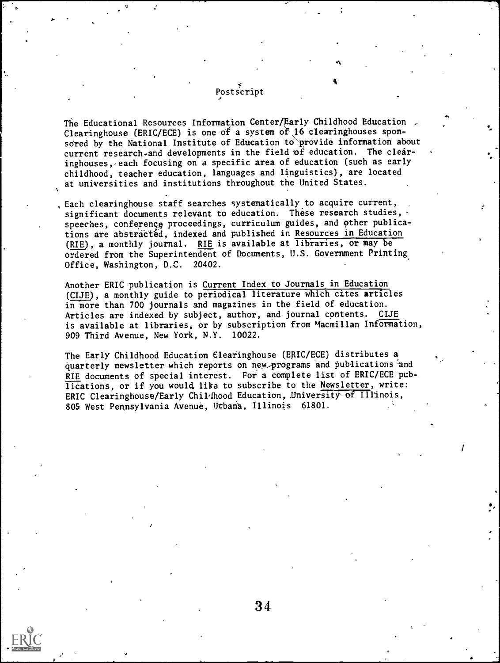# Postscript

The Educational Resources Information Center/Early Childhood Education. Clearinghouse (ERIC/ECE) is one of a system of 16 clearinghouses sponsored by the National Institute of Education to provide information about current research.and developments in the field of education. The clearinghouses, each focusing on a specific area of education (such as early childhood, teacher education, languages and linguistics), are located at universities and institutions throughout the United States.

Each clearinghouse staff searches systematically to acquire current, significant documents relevant to education. These research studies, speeches, conference proceedings, curriculum guides, and other publications are abstracted, indexed and published in Resources in Education (RIE), a monthly journal. RIE is available at libraries, or may be ordered from the Superintendent of Documents, U.S. Government Printing Office, Washington, D.C. 20402.

Another ERIC publication is Current Index to Journals in Education (CIJE), a monthly guide to periodical literature which cites articles in more than 700 journals and magazines in the field of education. Articles are indexed by subject, author, and journal contents. CIJE is available at libraries, or by subscription from Macmillan Information, 909 Third Avenue, New York, N.Y. 10022.

The Early Childhood Education Clearinghouse (ERIC/ECE) distributes a quarterly newsletter which reports on new programs and publications and R1E documents of special interest. For a complete list of ERIC/ECE publications, or if you would, like to subscribe to the Newsletter, write: ERIC Clearinghouse/Early Childhood Education, University of Illinois, 805 West Pennsylvania Avenue, Urbana, Illinois 61801.